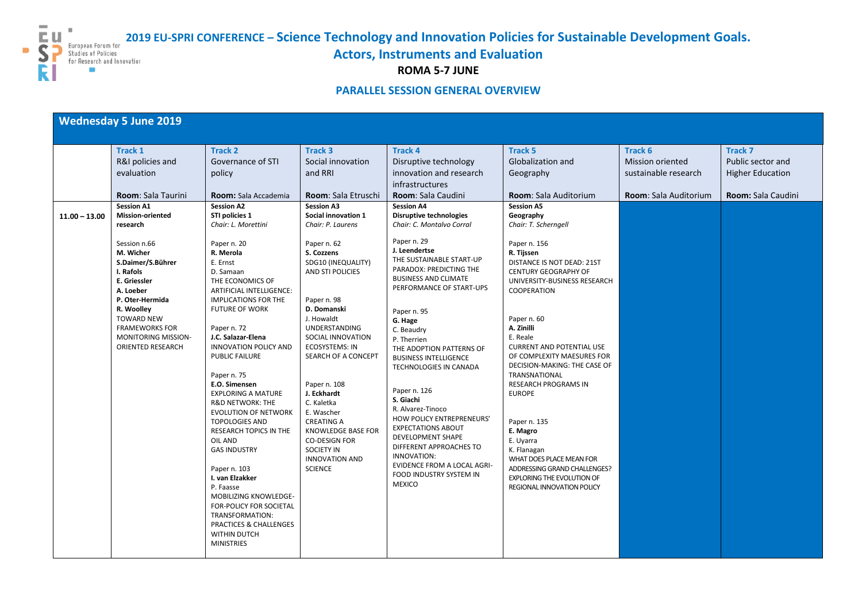**2019 EU-SPRI CONFERENCE – Science Technology and Innovation Policies for Sustainable Development Goals.**



 $\overline{\phantom{a}}$ 

**Actors, Instruments and Evaluation**

**ROMA 5-7 JUNE**

## **PARALLEL SESSION GENERAL OVERVIEW**

## **Wednesday 5 June 2019**

| <b>Track 1</b><br><b>Track 2</b><br><b>Track 3</b><br><b>Track 4</b><br><b>Track 5</b><br><b>Track 7</b><br>Track 6<br>R&I policies and<br>Governance of STI<br>Social innovation<br>Disruptive technology<br><b>Globalization and</b><br><b>Mission oriented</b><br>and RRI<br>innovation and research<br>evaluation<br>Geography<br>sustainable research<br>policy<br>infrastructures<br>Room: Sala Auditorium<br><b>Room:</b> Sala Taurini<br>Room: Sala Etruschi<br>Room: Sala Caudini<br><b>Room:</b> Sala Auditorium<br><b>Room:</b> Sala Accademia<br><b>Session A1</b><br><b>Session A3</b>                                                                                                                                                                                                                                                                                                                                                                                                                                                                                                                                                                                                                                                                                                                                                                                                                                                                                                                                                                                                                                                                                                                                                                                                                                                                                                                                                                                                                                                                                                                                                                                                                                                                                                                                                                                                                                                                                          |  |                   |                   |                   |                           |
|----------------------------------------------------------------------------------------------------------------------------------------------------------------------------------------------------------------------------------------------------------------------------------------------------------------------------------------------------------------------------------------------------------------------------------------------------------------------------------------------------------------------------------------------------------------------------------------------------------------------------------------------------------------------------------------------------------------------------------------------------------------------------------------------------------------------------------------------------------------------------------------------------------------------------------------------------------------------------------------------------------------------------------------------------------------------------------------------------------------------------------------------------------------------------------------------------------------------------------------------------------------------------------------------------------------------------------------------------------------------------------------------------------------------------------------------------------------------------------------------------------------------------------------------------------------------------------------------------------------------------------------------------------------------------------------------------------------------------------------------------------------------------------------------------------------------------------------------------------------------------------------------------------------------------------------------------------------------------------------------------------------------------------------------------------------------------------------------------------------------------------------------------------------------------------------------------------------------------------------------------------------------------------------------------------------------------------------------------------------------------------------------------------------------------------------------------------------------------------------------|--|-------------------|-------------------|-------------------|---------------------------|
|                                                                                                                                                                                                                                                                                                                                                                                                                                                                                                                                                                                                                                                                                                                                                                                                                                                                                                                                                                                                                                                                                                                                                                                                                                                                                                                                                                                                                                                                                                                                                                                                                                                                                                                                                                                                                                                                                                                                                                                                                                                                                                                                                                                                                                                                                                                                                                                                                                                                                              |  |                   |                   |                   |                           |
|                                                                                                                                                                                                                                                                                                                                                                                                                                                                                                                                                                                                                                                                                                                                                                                                                                                                                                                                                                                                                                                                                                                                                                                                                                                                                                                                                                                                                                                                                                                                                                                                                                                                                                                                                                                                                                                                                                                                                                                                                                                                                                                                                                                                                                                                                                                                                                                                                                                                                              |  |                   |                   |                   | Public sector and         |
|                                                                                                                                                                                                                                                                                                                                                                                                                                                                                                                                                                                                                                                                                                                                                                                                                                                                                                                                                                                                                                                                                                                                                                                                                                                                                                                                                                                                                                                                                                                                                                                                                                                                                                                                                                                                                                                                                                                                                                                                                                                                                                                                                                                                                                                                                                                                                                                                                                                                                              |  |                   |                   |                   | <b>Higher Education</b>   |
|                                                                                                                                                                                                                                                                                                                                                                                                                                                                                                                                                                                                                                                                                                                                                                                                                                                                                                                                                                                                                                                                                                                                                                                                                                                                                                                                                                                                                                                                                                                                                                                                                                                                                                                                                                                                                                                                                                                                                                                                                                                                                                                                                                                                                                                                                                                                                                                                                                                                                              |  |                   |                   |                   |                           |
|                                                                                                                                                                                                                                                                                                                                                                                                                                                                                                                                                                                                                                                                                                                                                                                                                                                                                                                                                                                                                                                                                                                                                                                                                                                                                                                                                                                                                                                                                                                                                                                                                                                                                                                                                                                                                                                                                                                                                                                                                                                                                                                                                                                                                                                                                                                                                                                                                                                                                              |  |                   |                   |                   | <b>Room:</b> Sala Caudini |
|                                                                                                                                                                                                                                                                                                                                                                                                                                                                                                                                                                                                                                                                                                                                                                                                                                                                                                                                                                                                                                                                                                                                                                                                                                                                                                                                                                                                                                                                                                                                                                                                                                                                                                                                                                                                                                                                                                                                                                                                                                                                                                                                                                                                                                                                                                                                                                                                                                                                                              |  | <b>Session A2</b> | <b>Session A4</b> | <b>Session A5</b> |                           |
| <b>Mission-oriented</b><br>STI policies 1<br><b>Social innovation 1</b><br><b>Disruptive technologies</b><br>Geography<br>$11.00 - 13.00$                                                                                                                                                                                                                                                                                                                                                                                                                                                                                                                                                                                                                                                                                                                                                                                                                                                                                                                                                                                                                                                                                                                                                                                                                                                                                                                                                                                                                                                                                                                                                                                                                                                                                                                                                                                                                                                                                                                                                                                                                                                                                                                                                                                                                                                                                                                                                    |  |                   |                   |                   |                           |
| research<br>Chair: L. Morettini<br>Chair: P. Laurens<br>Chair: T. Scherngell<br>Chair: C. Montalvo Corral                                                                                                                                                                                                                                                                                                                                                                                                                                                                                                                                                                                                                                                                                                                                                                                                                                                                                                                                                                                                                                                                                                                                                                                                                                                                                                                                                                                                                                                                                                                                                                                                                                                                                                                                                                                                                                                                                                                                                                                                                                                                                                                                                                                                                                                                                                                                                                                    |  |                   |                   |                   |                           |
| Paper n. 29<br>Paper n. 20<br>Session n.66<br>Paper n. 62<br>Paper n. 156<br>J. Leendertse<br>M. Wicher<br>R. Merola<br>S. Cozzens<br>R. Tijssen<br>THE SUSTAINABLE START-UP<br>S.Daimer/S.Bührer<br>E. Ernst<br>SDG10 (INEQUALITY)<br>DISTANCE IS NOT DEAD: 21ST<br>PARADOX: PREDICTING THE<br>I. Rafols<br><b>AND STI POLICIES</b><br><b>CENTURY GEOGRAPHY OF</b><br>D. Samaan<br><b>BUSINESS AND CLIMATE</b><br>E. Griessler<br>THE ECONOMICS OF<br>UNIVERSITY-BUSINESS RESEARCH<br>PERFORMANCE OF START-UPS<br>A. Loeber<br><b>ARTIFICIAL INTELLIGENCE:</b><br>COOPERATION<br>P. Oter-Hermida<br><b>IMPLICATIONS FOR THE</b><br>Paper n. 98<br>R. Woolley<br><b>FUTURE OF WORK</b><br>D. Domanski<br>Paper n. 95<br><b>TOWARD NEW</b><br>J. Howaldt<br>Paper n. 60<br>G. Hage<br><b>UNDERSTANDING</b><br>A. Zinilli<br><b>FRAMEWORKS FOR</b><br>Paper n. 72<br>C. Beaudry<br>J.C. Salazar-Elena<br><b>MONITORING MISSION-</b><br>SOCIAL INNOVATION<br>E. Reale<br>P. Therrien<br>ORIENTED RESEARCH<br><b>INNOVATION POLICY AND</b><br><b>ECOSYSTEMS: IN</b><br><b>CURRENT AND POTENTIAL USE</b><br>THE ADOPTION PATTERNS OF<br><b>PUBLIC FAILURE</b><br>SEARCH OF A CONCEPT<br>OF COMPLEXITY MAESURES FOR<br><b>BUSINESS INTELLIGENCE</b><br>DECISION-MAKING: THE CASE OF<br>TECHNOLOGIES IN CANADA<br>Paper n. 75<br><b>TRANSNATIONAL</b><br>E.O. Simensen<br><b>RESEARCH PROGRAMS IN</b><br>Paper n. 108<br>Paper n. 126<br><b>EXPLORING A MATURE</b><br>J. Eckhardt<br><b>EUROPE</b><br>S. Giachi<br><b>R&amp;D NETWORK: THE</b><br>C. Kaletka<br>R. Alvarez-Tinoco<br><b>EVOLUTION OF NETWORK</b><br>E. Wascher<br>HOW POLICY ENTREPRENEURS'<br><b>CREATING A</b><br><b>TOPOLOGIES AND</b><br>Paper n. 135<br><b>EXPECTATIONS ABOUT</b><br><b>RESEARCH TOPICS IN THE</b><br><b>KNOWLEDGE BASE FOR</b><br>E. Magro<br><b>DEVELOPMENT SHAPE</b><br>OIL AND<br><b>CO-DESIGN FOR</b><br>E. Uyarra<br>DIFFERENT APPROACHES TO<br><b>SOCIETY IN</b><br><b>GAS INDUSTRY</b><br>K. Flanagan<br>INNOVATION:<br><b>INNOVATION AND</b><br>WHAT DOES PLACE MEAN FOR<br><b>EVIDENCE FROM A LOCAL AGRI-</b><br><b>SCIENCE</b><br>ADDRESSING GRAND CHALLENGES?<br>Paper n. 103<br>FOOD INDUSTRY SYSTEM IN<br>I. van Elzakker<br><b>EXPLORING THE EVOLUTION OF</b><br><b>MEXICO</b><br>P. Faasse<br><b>REGIONAL INNOVATION POLICY</b><br>MOBILIZING KNOWLEDGE-<br><b>FOR-POLICY FOR SOCIETAL</b><br>TRANSFORMATION:<br><b>PRACTICES &amp; CHALLENGES</b><br><b>WITHIN DUTCH</b><br><b>MINISTRIES</b> |  |                   |                   |                   |                           |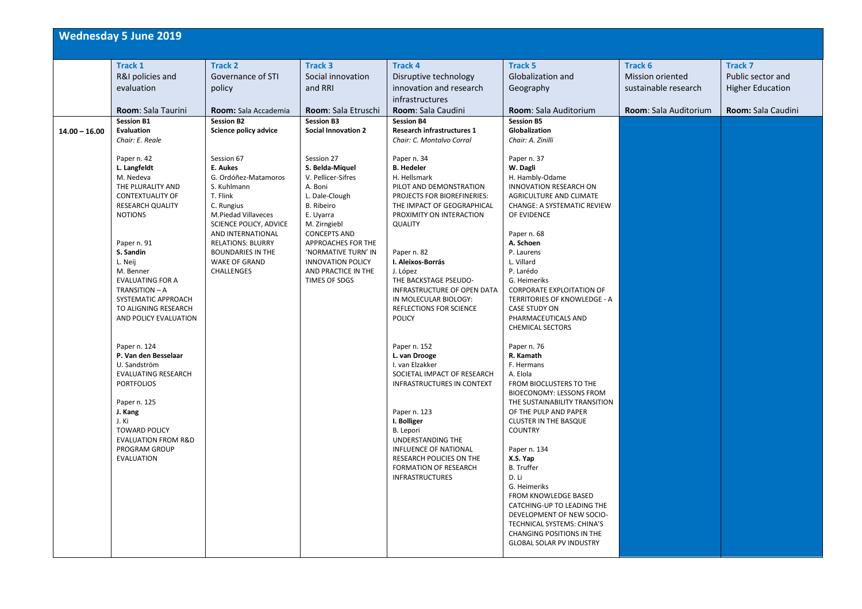|                 | <b>Wednesday 5 June 2019</b>                                                                                                                                                                                                                                                                                                                                                                                                                                                                                                                                                                                                                                                    |                                                                                                                                                                                                                                                                                                                                                                                    |                                                                                                                                                                                                                                                                                                                                                                                                        |                                                                                                                                                                                                                                                                                                                                                                                                                                                                                                                                                                                                                                                                                                                                                                                             |                                                                                                                                                                                                                                                                                                                                                                                                                                                                                                                                                                                                                                                                                                                                                                   |                                                                                     |                                                                                      |
|-----------------|---------------------------------------------------------------------------------------------------------------------------------------------------------------------------------------------------------------------------------------------------------------------------------------------------------------------------------------------------------------------------------------------------------------------------------------------------------------------------------------------------------------------------------------------------------------------------------------------------------------------------------------------------------------------------------|------------------------------------------------------------------------------------------------------------------------------------------------------------------------------------------------------------------------------------------------------------------------------------------------------------------------------------------------------------------------------------|--------------------------------------------------------------------------------------------------------------------------------------------------------------------------------------------------------------------------------------------------------------------------------------------------------------------------------------------------------------------------------------------------------|---------------------------------------------------------------------------------------------------------------------------------------------------------------------------------------------------------------------------------------------------------------------------------------------------------------------------------------------------------------------------------------------------------------------------------------------------------------------------------------------------------------------------------------------------------------------------------------------------------------------------------------------------------------------------------------------------------------------------------------------------------------------------------------------|-------------------------------------------------------------------------------------------------------------------------------------------------------------------------------------------------------------------------------------------------------------------------------------------------------------------------------------------------------------------------------------------------------------------------------------------------------------------------------------------------------------------------------------------------------------------------------------------------------------------------------------------------------------------------------------------------------------------------------------------------------------------|-------------------------------------------------------------------------------------|--------------------------------------------------------------------------------------|
| $14.00 - 16.00$ | <b>Track 1</b><br>R&I policies and<br>evaluation<br>Room: Sala Taurini<br><b>Session B1</b><br><b>Evaluation</b><br>Chair: E. Reale<br>Paper n. 42<br>L. Langfeldt<br>M. Nedeva<br>THE PLURALITY AND<br><b>CONTEXTUALITY OF</b><br><b>RESEARCH QUALITY</b><br><b>NOTIONS</b><br>Paper n. 91<br>S. Sandin<br>L. Neij<br>M. Benner<br><b>EVALUATING FOR A</b><br>TRANSITION - A<br>SYSTEMATIC APPROACH<br>TO ALIGNING RESEARCH<br>AND POLICY EVALUATION<br>Paper n. 124<br>P. Van den Besselaar<br>U. Sandström<br><b>EVALUATING RESEARCH</b><br><b>PORTFOLIOS</b><br>Paper n. 125<br>J. Kang<br>J. Ki<br><b>TOWARD POLICY</b><br><b>EVALUATION FROM R&amp;D</b><br>PROGRAM GROUP | <b>Track 2</b><br>Governance of STI<br>policy<br>Room: Sala Accademia<br><b>Session B2</b><br>Science policy advice<br>Session 67<br>E. Aukes<br>G. Ordóñez-Matamoros<br>S. Kuhlmann<br>T. Flink<br>C. Rungius<br>M.Piedad Villaveces<br>SCIENCE POLICY, ADVICE<br>AND INTERNATIONAL<br><b>RELATIONS: BLURRY</b><br><b>BOUNDARIES IN THE</b><br><b>WAKE OF GRAND</b><br>CHALLENGES | <b>Track 3</b><br>Social innovation<br>and RRI<br>Room: Sala Etruschi<br><b>Session B3</b><br><b>Social Innovation 2</b><br>Session 27<br>S. Belda-Miquel<br>V. Pellicer-Sifres<br>A. Boni<br>L. Dale-Clough<br><b>B.</b> Ribeiro<br>E. Uyarra<br>M. Zirngiebl<br><b>CONCEPTS AND</b><br>APPROACHES FOR THE<br>'NORMATIVE TURN' IN<br><b>INNOVATION POLICY</b><br>AND PRACTICE IN THE<br>TIMES OF SDGS | <b>Track 4</b><br>Disruptive technology<br>innovation and research<br><i>infrastructures</i><br>Room: Sala Caudini<br><b>Session B4</b><br><b>Research infrastructures 1</b><br>Chair: C. Montalvo Corral<br>Paper n. 34<br><b>B.</b> Hedeler<br>H. Hellsmark<br>PILOT AND DEMONSTRATION<br>PROJECTS FOR BIOREFINERIES:<br>THE IMPACT OF GEOGRAPHICAL<br>PROXIMITY ON INTERACTION<br><b>QUALITY</b><br>Paper n. 82<br>I. Aleixos-Borrás<br>J. López<br>THE BACKSTAGE PSEUDO-<br>INFRASTRUCTURE OF OPEN DATA<br>IN MOLECULAR BIOLOGY:<br>REFLECTIONS FOR SCIENCE<br><b>POLICY</b><br>Paper n. 152<br>L. van Drooge<br>I. van Elzakker<br>SOCIETAL IMPACT OF RESEARCH<br>INFRASTRUCTURES IN CONTEXT<br>Paper n. 123<br>I. Bolliger<br>B. Lepori<br>UNDERSTANDING THE<br>INFLUENCE OF NATIONAL | <b>Track 5</b><br><b>Globalization and</b><br>Geography<br>Room: Sala Auditorium<br><b>Session B5</b><br>Globalization<br>Chair: A. Zinilli<br>Paper n. 37<br>W. Dagli<br>H. Hambly-Odame<br>INNOVATION RESEARCH ON<br>AGRICULTURE AND CLIMATE<br>CHANGE: A SYSTEMATIC REVIEW<br>OF EVIDENCE<br>Paper n. 68<br>A. Schoen<br>P. Laurens<br>L. Villard<br>P. Larédo<br>G. Heimeriks<br>CORPORATE EXPLOITATION OF<br>TERRITORIES OF KNOWLEDGE - A<br><b>CASE STUDY ON</b><br>PHARMACEUTICALS AND<br><b>CHEMICAL SECTORS</b><br>Paper n. 76<br>R. Kamath<br>F. Hermans<br>A. Elola<br>FROM BIOCLUSTERS TO THE<br>BIOECONOMY: LESSONS FROM<br>THE SUSTAINABILITY TRANSITION<br>OF THE PULP AND PAPER<br><b>CLUSTER IN THE BASQUE</b><br><b>COUNTRY</b><br>Paper n. 134 | Track 6<br><b>Mission oriented</b><br>sustainable research<br>Room: Sala Auditorium | <b>Track 7</b><br>Public sector and<br><b>Higher Education</b><br>Room: Sala Caudini |
|                 | <b>EVALUATION</b>                                                                                                                                                                                                                                                                                                                                                                                                                                                                                                                                                                                                                                                               |                                                                                                                                                                                                                                                                                                                                                                                    |                                                                                                                                                                                                                                                                                                                                                                                                        | RESEARCH POLICIES ON THE<br><b>FORMATION OF RESEARCH</b><br><b>INFRASTRUCTURES</b>                                                                                                                                                                                                                                                                                                                                                                                                                                                                                                                                                                                                                                                                                                          | X.S. Yap<br><b>B.</b> Truffer<br>D. Li<br>G. Heimeriks<br>FROM KNOWLEDGE BASED<br>CATCHING-UP TO LEADING THE<br>DEVELOPMENT OF NEW SOCIO-<br>TECHNICAL SYSTEMS: CHINA'S<br><b>CHANGING POSITIONS IN THE</b><br><b>GLOBAL SOLAR PV INDUSTRY</b>                                                                                                                                                                                                                                                                                                                                                                                                                                                                                                                    |                                                                                     |                                                                                      |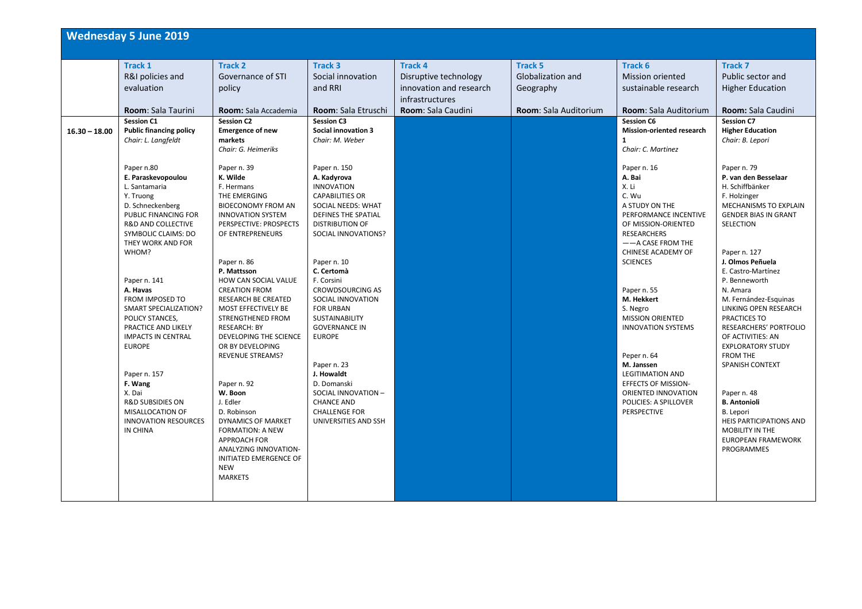|                 | <b>Wednesday 5 June 2019</b>                                                                                                                                                                                                                                                                                                                                                                                                                                                                                                           |                                                                                                                                                                                                                                                                                                                                                                                                                                                                                                                                                             |                                                                                                                                                                                                                                                                                                                                                                                                                                                                                                                 |                                                                                                             |                                                                                         |                                                                                                                                                                                                                                                                                                                                                                                                                                                                                          |                                                                                                                                                                                                                                                                                                                                                                                                                                                                                                                                                    |
|-----------------|----------------------------------------------------------------------------------------------------------------------------------------------------------------------------------------------------------------------------------------------------------------------------------------------------------------------------------------------------------------------------------------------------------------------------------------------------------------------------------------------------------------------------------------|-------------------------------------------------------------------------------------------------------------------------------------------------------------------------------------------------------------------------------------------------------------------------------------------------------------------------------------------------------------------------------------------------------------------------------------------------------------------------------------------------------------------------------------------------------------|-----------------------------------------------------------------------------------------------------------------------------------------------------------------------------------------------------------------------------------------------------------------------------------------------------------------------------------------------------------------------------------------------------------------------------------------------------------------------------------------------------------------|-------------------------------------------------------------------------------------------------------------|-----------------------------------------------------------------------------------------|------------------------------------------------------------------------------------------------------------------------------------------------------------------------------------------------------------------------------------------------------------------------------------------------------------------------------------------------------------------------------------------------------------------------------------------------------------------------------------------|----------------------------------------------------------------------------------------------------------------------------------------------------------------------------------------------------------------------------------------------------------------------------------------------------------------------------------------------------------------------------------------------------------------------------------------------------------------------------------------------------------------------------------------------------|
| $16.30 - 18.00$ | <b>Track 1</b><br>R&I policies and<br>evaluation<br>Room: Sala Taurini<br><b>Session C1</b><br><b>Public financing policy</b><br>Chair: L. Langfeldt<br>Paper n.80<br>E. Paraskevopoulou<br>L. Santamaria<br>Y. Truong<br>D. Schneckenberg<br>PUBLIC FINANCING FOR<br><b>R&amp;D AND COLLECTIVE</b><br>SYMBOLIC CLAIMS: DO<br>THEY WORK AND FOR<br>WHOM?<br>Paper n. 141<br>A. Havas<br><b>FROM IMPOSED TO</b><br><b>SMART SPECIALIZATION?</b><br>POLICY STANCES,<br>PRACTICE AND LIKELY<br><b>IMPACTS IN CENTRAL</b><br><b>EUROPE</b> | <b>Track 2</b><br>Governance of STI<br>policy<br><b>Room:</b> Sala Accademia<br><b>Session C2</b><br><b>Emergence of new</b><br>markets<br>Chair: G. Heimeriks<br>Paper n. 39<br>K. Wilde<br>F. Hermans<br>THE EMERGING<br><b>BIOECONOMY FROM AN</b><br><b>INNOVATION SYSTEM</b><br>PERSPECTIVE: PROSPECTS<br>OF ENTREPRENEURS<br>Paper n. 86<br>P. Mattsson<br>HOW CAN SOCIAL VALUE<br><b>CREATION FROM</b><br><b>RESEARCH BE CREATED</b><br>MOST EFFECTIVELY BE<br>STRENGTHENED FROM<br><b>RESEARCH: BY</b><br>DEVELOPING THE SCIENCE<br>OR BY DEVELOPING | <b>Track 3</b><br>Social innovation<br>and RRI<br>Room: Sala Etruschi<br><b>Session C3</b><br><b>Social innovation 3</b><br>Chair: M. Weber<br>Paper n. 150<br>A. Kadyrova<br><b>INNOVATION</b><br><b>CAPABILITIES OR</b><br>SOCIAL NEEDS: WHAT<br><b>DEFINES THE SPATIAL</b><br><b>DISTRIBUTION OF</b><br>SOCIAL INNOVATIONS?<br>Paper n. 10<br>C. Certomà<br>F. Corsini<br><b>CROWDSOURCING AS</b><br>SOCIAL INNOVATION<br><b>FOR URBAN</b><br><b>SUSTAINABILITY</b><br><b>GOVERNANCE IN</b><br><b>EUROPE</b> | <b>Track 4</b><br>Disruptive technology<br>innovation and research<br>infrastructures<br>Room: Sala Caudini | <b>Track 5</b><br><b>Globalization and</b><br>Geography<br><b>Room: Sala Auditorium</b> | Track 6<br><b>Mission oriented</b><br>sustainable research<br><b>Room:</b> Sala Auditorium<br><b>Session C6</b><br>Mission-oriented research<br>$\mathbf{1}$<br>Chair: C. Martinez<br>Paper n. 16<br>A. Bai<br>X. Li<br>C. Wu<br>A STUDY ON THE<br>PERFORMANCE INCENTIVE<br>OF MISSION-ORIENTED<br><b>RESEARCHERS</b><br>$-$ - A CASE FROM THE<br>CHINESE ACADEMY OF<br><b>SCIENCES</b><br>Paper n. 55<br>M. Hekkert<br>S. Negro<br><b>MISSION ORIENTED</b><br><b>INNOVATION SYSTEMS</b> | <b>Track 7</b><br>Public sector and<br><b>Higher Education</b><br>Room: Sala Caudini<br><b>Session C7</b><br><b>Higher Education</b><br>Chair: B. Lepori<br>Paper n. 79<br>P. van den Besselaar<br>H. Schiffbänker<br>F. Holzinger<br>MECHANISMS TO EXPLAIN<br><b>GENDER BIAS IN GRANT</b><br>SELECTION<br>Paper n. 127<br>J. Olmos Peñuela<br>E. Castro-Martínez<br>P. Benneworth<br>N. Amara<br>M. Fernández-Esquinas<br>LINKING OPEN RESEARCH<br>PRACTICES TO<br><b>RESEARCHERS' PORTFOLIO</b><br>OF ACTIVITIES: AN<br><b>EXPLORATORY STUDY</b> |
|                 | Paper n. 157<br>F. Wang<br>X. Dai<br><b>R&amp;D SUBSIDIES ON</b><br>MISALLOCATION OF<br><b>INNOVATION RESOURCES</b><br>IN CHINA                                                                                                                                                                                                                                                                                                                                                                                                        | <b>REVENUE STREAMS?</b><br>Paper n. 92<br>W. Boon<br>J. Edler<br>D. Robinson<br>DYNAMICS OF MARKET<br><b>FORMATION: A NEW</b><br><b>APPROACH FOR</b><br><b>ANALYZING INNOVATION-</b><br>INITIATED EMERGENCE OF<br><b>NEW</b><br><b>MARKETS</b>                                                                                                                                                                                                                                                                                                              | Paper n. 23<br>J. Howaldt<br>D. Domanski<br>SOCIAL INNOVATION -<br><b>CHANCE AND</b><br><b>CHALLENGE FOR</b><br>UNIVERSITIES AND SSH                                                                                                                                                                                                                                                                                                                                                                            |                                                                                                             |                                                                                         | Peper n. 64<br>M. Janssen<br><b>LEGITIMATION AND</b><br><b>EFFECTS OF MISSION-</b><br>ORIENTED INNOVATION<br>POLICIES: A SPILLOVER<br>PERSPECTIVE                                                                                                                                                                                                                                                                                                                                        | <b>FROM THE</b><br>SPANISH CONTEXT<br>Paper n. 48<br><b>B.</b> Antonioli<br>B. Lepori<br><b>HEIS PARTICIPATIONS AND</b><br><b>MOBILITY IN THE</b><br><b>EUROPEAN FRAMEWORK</b><br><b>PROGRAMMES</b>                                                                                                                                                                                                                                                                                                                                                |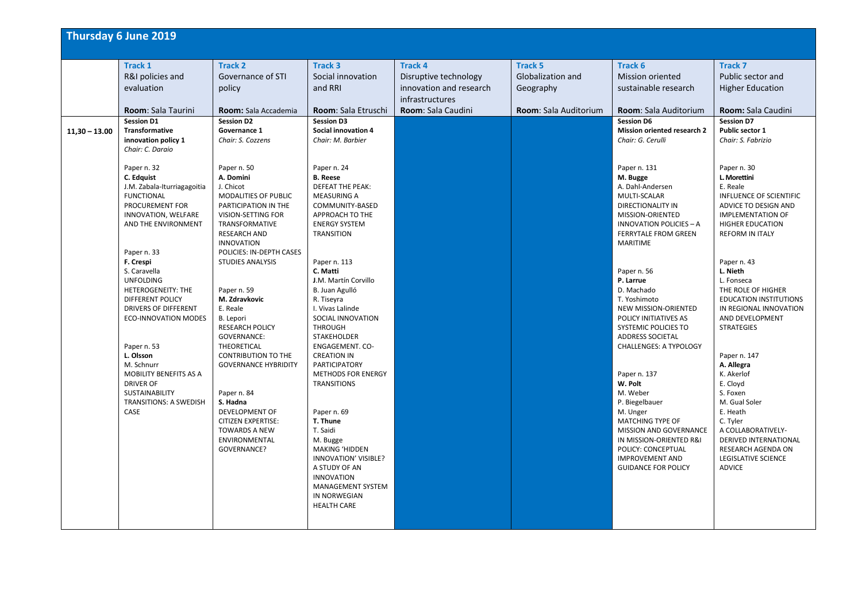| <b>Thursday 6 June 2019</b>                                                                                                                                                                                                                                                                                                                                                                                                                                                                                                                                                           |                                                                                                                                                                                                                                                                                                                                                                                                                                                                                                                                                                                                                   |                                                                                                                                                                                                                                                                                                                                                                                                                                                                                                                                                                                                                                                                                                                                   |                                                                                                             |                                                                                  |                                                                                                                                                                                                                                                                                                                                                                                                                                                                                                                                                                                                                                                                                                                    |                                                                                                                                                                                                                                                                                                                                                                                                                                                                                                                                                                                                                                                     |
|---------------------------------------------------------------------------------------------------------------------------------------------------------------------------------------------------------------------------------------------------------------------------------------------------------------------------------------------------------------------------------------------------------------------------------------------------------------------------------------------------------------------------------------------------------------------------------------|-------------------------------------------------------------------------------------------------------------------------------------------------------------------------------------------------------------------------------------------------------------------------------------------------------------------------------------------------------------------------------------------------------------------------------------------------------------------------------------------------------------------------------------------------------------------------------------------------------------------|-----------------------------------------------------------------------------------------------------------------------------------------------------------------------------------------------------------------------------------------------------------------------------------------------------------------------------------------------------------------------------------------------------------------------------------------------------------------------------------------------------------------------------------------------------------------------------------------------------------------------------------------------------------------------------------------------------------------------------------|-------------------------------------------------------------------------------------------------------------|----------------------------------------------------------------------------------|--------------------------------------------------------------------------------------------------------------------------------------------------------------------------------------------------------------------------------------------------------------------------------------------------------------------------------------------------------------------------------------------------------------------------------------------------------------------------------------------------------------------------------------------------------------------------------------------------------------------------------------------------------------------------------------------------------------------|-----------------------------------------------------------------------------------------------------------------------------------------------------------------------------------------------------------------------------------------------------------------------------------------------------------------------------------------------------------------------------------------------------------------------------------------------------------------------------------------------------------------------------------------------------------------------------------------------------------------------------------------------------|
| <b>Track 1</b><br>R&I policies and<br>evaluation<br>Room: Sala Taurini                                                                                                                                                                                                                                                                                                                                                                                                                                                                                                                | <b>Track 2</b><br>Governance of STI<br>policy<br>Room: Sala Accademia                                                                                                                                                                                                                                                                                                                                                                                                                                                                                                                                             | <b>Track 3</b><br>Social innovation<br>and RRI<br>Room: Sala Etruschi                                                                                                                                                                                                                                                                                                                                                                                                                                                                                                                                                                                                                                                             | <b>Track 4</b><br>Disruptive technology<br>innovation and research<br>infrastructures<br>Room: Sala Caudini | <b>Track 5</b><br><b>Globalization and</b><br>Geography<br>Room: Sala Auditorium | Track 6<br><b>Mission oriented</b><br>sustainable research<br>Room: Sala Auditorium                                                                                                                                                                                                                                                                                                                                                                                                                                                                                                                                                                                                                                | <b>Track 7</b><br>Public sector and<br><b>Higher Education</b><br>Room: Sala Caudini                                                                                                                                                                                                                                                                                                                                                                                                                                                                                                                                                                |
| <b>Session D1</b><br><b>Transformative</b><br>$11,30 - 13.00$<br>innovation policy 1<br>Chair: C. Daraio<br>Paper n. 32<br>C. Edguist<br>J.M. Zabala-Iturriagagoitia<br><b>FUNCTIONAL</b><br>PROCUREMENT FOR<br>INNOVATION, WELFARE<br>AND THE ENVIRONMENT<br>Paper n. 33<br>F. Crespi<br>S. Caravella<br><b>UNFOLDING</b><br>HETEROGENEITY: THE<br>DIFFERENT POLICY<br><b>DRIVERS OF DIFFERENT</b><br><b>ECO-INNOVATION MODES</b><br>Paper n. 53<br>L. Olsson<br>M. Schnurr<br>MOBILITY BENEFITS AS A<br><b>DRIVER OF</b><br>SUSTAINABILITY<br><b>TRANSITIONS: A SWEDISH</b><br>CASE | <b>Session D2</b><br>Governance 1<br>Chair: S. Cozzens<br>Paper n. 50<br>A. Domini<br>J. Chicot<br>MODALITIES OF PUBLIC<br>PARTICIPATION IN THE<br>VISION-SETTING FOR<br>TRANSFORMATIVE<br><b>RESEARCH AND</b><br><b>INNOVATION</b><br>POLICIES: IN-DEPTH CASES<br><b>STUDIES ANALYSIS</b><br>Paper n. 59<br>M. Zdravkovic<br>E. Reale<br>B. Lepori<br><b>RESEARCH POLICY</b><br><b>GOVERNANCE:</b><br>THEORETICAL<br><b>CONTRIBUTION TO THE</b><br><b>GOVERNANCE HYBRIDITY</b><br>Paper n. 84<br>S. Hadna<br>DEVELOPMENT OF<br><b>CITIZEN EXPERTISE:</b><br><b>TOWARDS A NEW</b><br>ENVIRONMENTAL<br>GOVERNANCE? | <b>Session D3</b><br><b>Social innovation 4</b><br>Chair: M. Barbier<br>Paper n. 24<br><b>B.</b> Reese<br><b>DEFEAT THE PEAK:</b><br><b>MEASURING A</b><br>COMMUNITY-BASED<br>APPROACH TO THE<br><b>ENERGY SYSTEM</b><br><b>TRANSITION</b><br>Paper n. 113<br>C. Matti<br>J.M. Martín Corvillo<br>B. Juan Agulló<br>R. Tiseyra<br>I. Vivas Lalinde<br>SOCIAL INNOVATION<br><b>THROUGH</b><br>STAKEHOLDER<br>ENGAGEMENT. CO-<br><b>CREATION IN</b><br><b>PARTICIPATORY</b><br><b>METHODS FOR ENERGY</b><br><b>TRANSITIONS</b><br>Paper n. 69<br>T. Thune<br>T. Saidi<br>M. Bugge<br><b>MAKING 'HIDDEN</b><br>INNOVATION' VISIBLE?<br>A STUDY OF AN<br><b>INNOVATION</b><br>MANAGEMENT SYSTEM<br>IN NORWEGIAN<br><b>HEALTH CARE</b> |                                                                                                             |                                                                                  | <b>Session D6</b><br><b>Mission oriented research 2</b><br>Chair: G. Cerulli<br>Paper n. 131<br>M. Bugge<br>A. Dahl-Andersen<br>MULTI-SCALAR<br>DIRECTIONALITY IN<br>MISSION-ORIENTED<br><b>INNOVATION POLICIES - A</b><br><b>FERRYTALE FROM GREEN</b><br><b>MARITIME</b><br>Paper n. 56<br>P. Larrue<br>D. Machado<br>T. Yoshimoto<br>NEW MISSION-ORIENTED<br>POLICY INITIATIVES AS<br>SYSTEMIC POLICIES TO<br><b>ADDRESS SOCIETAL</b><br><b>CHALLENGES: A TYPOLOGY</b><br>Paper n. 137<br>W. Polt<br>M. Weber<br>P. Biegelbauer<br>M. Unger<br>MATCHING TYPE OF<br><b>MISSION AND GOVERNANCE</b><br>IN MISSION-ORIENTED R&I<br><b>POLICY: CONCEPTUAL</b><br><b>IMPROVEMENT AND</b><br><b>GUIDANCE FOR POLICY</b> | <b>Session D7</b><br>Public sector 1<br>Chair: S. Fabrizio<br>Paper n. 30<br>L. Morettini<br>E. Reale<br><b>INFLUENCE OF SCIENTIFIC</b><br>ADVICE TO DESIGN AND<br><b>IMPLEMENTATION OF</b><br><b>HIGHER EDUCATION</b><br><b>REFORM IN ITALY</b><br>Paper n. 43<br>L. Nieth<br>L. Fonseca<br>THE ROLE OF HIGHER<br><b>EDUCATION INSTITUTIONS</b><br>IN REGIONAL INNOVATION<br>AND DEVELOPMENT<br><b>STRATEGIES</b><br>Paper n. 147<br>A. Allegra<br>K. Akerlof<br>E. Cloyd<br>S. Foxen<br>M. Gual Soler<br>E. Heath<br>C. Tyler<br>A COLLABORATIVELY-<br>DERIVED INTERNATIONAL<br><b>RESEARCH AGENDA ON</b><br>LEGISLATIVE SCIENCE<br><b>ADVICE</b> |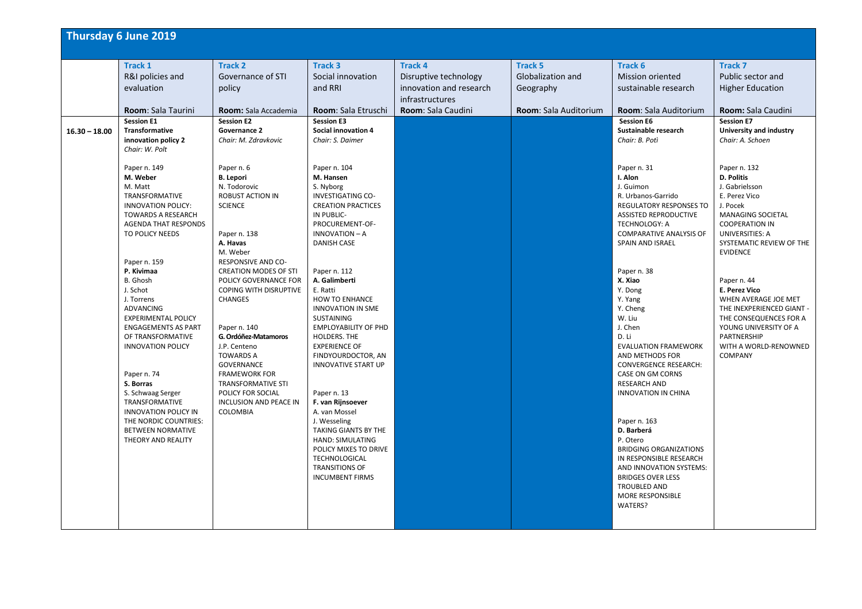|                 | Thursday 6 June 2019                                                                                                                                                                                                                                                                                                                                                                                                                                                                                                             |                                                                                                                                                                                                                                                                                                                                                                                                                                                                                                                                  |                                                                                                                                                                                                                                                                                                                                                                                                                                                                                                                                       |                                                                                                             |                                                                                  |                                                                                                                                                                                                                                                                                                                                                                                                                                                                                                                                      |                                                                                                                                                                                                                                                                                                                                                                                                                                                                               |
|-----------------|----------------------------------------------------------------------------------------------------------------------------------------------------------------------------------------------------------------------------------------------------------------------------------------------------------------------------------------------------------------------------------------------------------------------------------------------------------------------------------------------------------------------------------|----------------------------------------------------------------------------------------------------------------------------------------------------------------------------------------------------------------------------------------------------------------------------------------------------------------------------------------------------------------------------------------------------------------------------------------------------------------------------------------------------------------------------------|---------------------------------------------------------------------------------------------------------------------------------------------------------------------------------------------------------------------------------------------------------------------------------------------------------------------------------------------------------------------------------------------------------------------------------------------------------------------------------------------------------------------------------------|-------------------------------------------------------------------------------------------------------------|----------------------------------------------------------------------------------|--------------------------------------------------------------------------------------------------------------------------------------------------------------------------------------------------------------------------------------------------------------------------------------------------------------------------------------------------------------------------------------------------------------------------------------------------------------------------------------------------------------------------------------|-------------------------------------------------------------------------------------------------------------------------------------------------------------------------------------------------------------------------------------------------------------------------------------------------------------------------------------------------------------------------------------------------------------------------------------------------------------------------------|
|                 | Track 1<br>R&I policies and<br>evaluation<br><b>Room: Sala Taurini</b>                                                                                                                                                                                                                                                                                                                                                                                                                                                           | <b>Track 2</b><br>Governance of STI<br>policy<br><b>Room:</b> Sala Accademia                                                                                                                                                                                                                                                                                                                                                                                                                                                     | Track 3<br>Social innovation<br>and RRI<br>Room: Sala Etruschi                                                                                                                                                                                                                                                                                                                                                                                                                                                                        | <b>Track 4</b><br>Disruptive technology<br>innovation and research<br>infrastructures<br>Room: Sala Caudini | <b>Track 5</b><br>Globalization and<br>Geography<br><b>Room:</b> Sala Auditorium | Track 6<br>Mission oriented<br>sustainable research<br>Room: Sala Auditorium                                                                                                                                                                                                                                                                                                                                                                                                                                                         | Track 7<br>Public sector and<br><b>Higher Education</b><br>Room: Sala Caudini                                                                                                                                                                                                                                                                                                                                                                                                 |
| $16.30 - 18.00$ | <b>Session E1</b><br>Transformative<br>innovation policy 2<br>Chair: W. Polt<br>Paper n. 149<br>M. Weber<br>M. Matt<br><b>TRANSFORMATIVE</b><br><b>INNOVATION POLICY:</b><br><b>TOWARDS A RESEARCH</b><br><b>AGENDA THAT RESPONDS</b><br>TO POLICY NEEDS<br>Paper n. 159<br>P. Kivimaa<br>B. Ghosh<br>J. Schot<br>J. Torrens<br><b>ADVANCING</b><br><b>EXPERIMENTAL POLICY</b><br><b>ENGAGEMENTS AS PART</b><br>OF TRANSFORMATIVE<br><b>INNOVATION POLICY</b><br>Paper n. 74<br>S. Borras<br>S. Schwaag Serger<br>TRANSFORMATIVE | <b>Session E2</b><br>Governance 2<br>Chair: M. Zdravkovic<br>Paper n. 6<br><b>B.</b> Lepori<br>N. Todorovic<br><b>ROBUST ACTION IN</b><br><b>SCIENCE</b><br>Paper n. 138<br>A. Havas<br>M. Weber<br>RESPONSIVE AND CO-<br><b>CREATION MODES OF STI</b><br>POLICY GOVERNANCE FOR<br>COPING WITH DISRUPTIVE<br><b>CHANGES</b><br>Paper n. 140<br>G. Ordóñez-Matamoros<br>J.P. Centeno<br><b>TOWARDS A</b><br><b>GOVERNANCE</b><br><b>FRAMEWORK FOR</b><br><b>TRANSFORMATIVE STI</b><br>POLICY FOR SOCIAL<br>INCLUSION AND PEACE IN | <b>Session E3</b><br><b>Social innovation 4</b><br>Chair: S. Daimer<br>Paper n. 104<br>M. Hansen<br>S. Nyborg<br><b>INVESTIGATING CO-</b><br><b>CREATION PRACTICES</b><br>IN PUBLIC-<br>PROCUREMENT-OF-<br><b>INNOVATION - A</b><br><b>DANISH CASE</b><br>Paper n. 112<br>A. Galimberti<br>E. Ratti<br>HOW TO ENHANCE<br><b>INNOVATION IN SME</b><br><b>SUSTAINING</b><br><b>EMPLOYABILITY OF PHD</b><br>HOLDERS. THE<br><b>EXPERIENCE OF</b><br>FINDYOURDOCTOR, AN<br><b>INNOVATIVE START UP</b><br>Paper n. 13<br>F. van Rijnsoever |                                                                                                             |                                                                                  | <b>Session E6</b><br>Sustainable research<br>Chair: B. Potì<br>Paper n. 31<br>I. Alon<br>J. Guimon<br>R. Urbanos-Garrido<br><b>REGULATORY RESPONSES TO</b><br><b>ASSISTED REPRODUCTIVE</b><br><b>TECHNOLOGY: A</b><br><b>COMPARATIVE ANALYSIS OF</b><br><b>SPAIN AND ISRAEL</b><br>Paper n. 38<br>X. Xiao<br>Y. Dong<br>Y. Yang<br>Y. Cheng<br>W. Liu<br>J. Chen<br>D. Li<br><b>EVALUATION FRAMEWORK</b><br>AND METHODS FOR<br><b>CONVERGENCE RESEARCH:</b><br>CASE ON GM CORNS<br><b>RESEARCH AND</b><br><b>INNOVATION IN CHINA</b> | <b>Session E7</b><br>University and industry<br>Chair: A. Schoen<br>Paper n. 132<br><b>D. Politis</b><br>J. Gabrielsson<br>E. Perez Vico<br>J. Pocek<br><b>MANAGING SOCIETAL</b><br><b>COOPERATION IN</b><br><b>UNIVERSITIES: A</b><br>SYSTEMATIC REVIEW OF THE<br><b>EVIDENCE</b><br>Paper n. 44<br>E. Perez Vico<br>WHEN AVERAGE JOE MET<br>THE INEXPERIENCED GIANT -<br>THE CONSEQUENCES FOR A<br>YOUNG UNIVERSITY OF A<br>PARTNERSHIP<br>WITH A WORLD-RENOWNED<br>COMPANY |
|                 | <b>INNOVATION POLICY IN</b><br>THE NORDIC COUNTRIES:<br><b>BETWEEN NORMATIVE</b><br>THEORY AND REALITY                                                                                                                                                                                                                                                                                                                                                                                                                           | COLOMBIA                                                                                                                                                                                                                                                                                                                                                                                                                                                                                                                         | A. van Mossel<br>J. Wesseling<br>TAKING GIANTS BY THE<br>HAND: SIMULATING<br>POLICY MIXES TO DRIVE<br>TECHNOLOGICAL<br><b>TRANSITIONS OF</b><br><b>INCUMBENT FIRMS</b>                                                                                                                                                                                                                                                                                                                                                                |                                                                                                             |                                                                                  | Paper n. 163<br>D. Barberá<br>P. Otero<br><b>BRIDGING ORGANIZATIONS</b><br>IN RESPONSIBLE RESEARCH<br>AND INNOVATION SYSTEMS:<br><b>BRIDGES OVER LESS</b><br><b>TROUBLED AND</b><br>MORE RESPONSIBLE<br>WATERS?                                                                                                                                                                                                                                                                                                                      |                                                                                                                                                                                                                                                                                                                                                                                                                                                                               |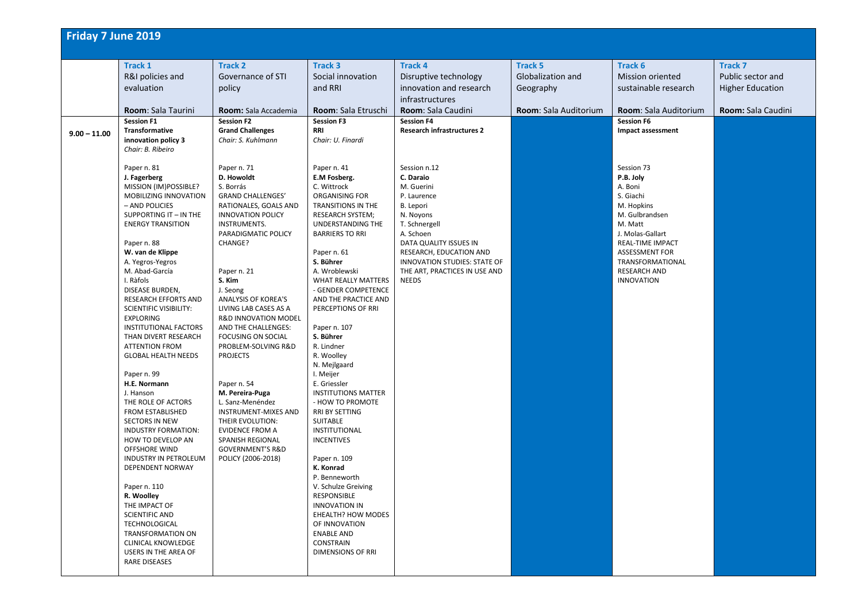| Friday 7 June 2019 |                                                              |                                              |                                             |                                   |                       |                                      |                         |
|--------------------|--------------------------------------------------------------|----------------------------------------------|---------------------------------------------|-----------------------------------|-----------------------|--------------------------------------|-------------------------|
|                    | <b>Track 1</b>                                               | <b>Track 2</b>                               | <b>Track 3</b>                              | <b>Track 4</b>                    | <b>Track 5</b>        | Track 6                              | <b>Track 7</b>          |
|                    | R&I policies and                                             | Governance of STI                            | Social innovation                           | Disruptive technology             | Globalization and     | <b>Mission oriented</b>              | Public sector and       |
|                    | evaluation                                                   | policy                                       | and RRI                                     | innovation and research           | Geography             | sustainable research                 | <b>Higher Education</b> |
|                    |                                                              |                                              |                                             | infrastructures                   |                       |                                      |                         |
|                    | Room: Sala Taurini                                           | Room: Sala Accademia                         | Room: Sala Etruschi                         | Room: Sala Caudini                | Room: Sala Auditorium | Room: Sala Auditorium                | Room: Sala Caudini      |
|                    | <b>Session F1</b>                                            | <b>Session F2</b>                            | <b>Session F3</b>                           | <b>Session F4</b>                 |                       | <b>Session F6</b>                    |                         |
| $9.00 - 11.00$     | Transformative                                               | <b>Grand Challenges</b>                      | <b>RRI</b>                                  | <b>Research infrastructures 2</b> |                       | Impact assessment                    |                         |
|                    | innovation policy 3                                          | Chair: S. Kuhlmann                           | Chair: U. Finardi                           |                                   |                       |                                      |                         |
|                    | Chair: B. Ribeiro                                            |                                              |                                             |                                   |                       |                                      |                         |
|                    | Paper n. 81                                                  | Paper n. 71                                  | Paper n. 41                                 | Session n.12                      |                       | Session 73                           |                         |
|                    | J. Fagerberg                                                 | D. Howoldt                                   | E.M Fosberg.                                | C. Daraio                         |                       | P.B. Joly                            |                         |
|                    | MISSION (IM)POSSIBLE?                                        | S. Borrás                                    | C. Wittrock                                 | M. Guerini                        |                       | A. Boni                              |                         |
|                    | MOBILIZING INNOVATION                                        | <b>GRAND CHALLENGES'</b>                     | ORGANISING FOR                              | P. Laurence                       |                       | S. Giachi                            |                         |
|                    | - AND POLICIES                                               | RATIONALES, GOALS AND                        | TRANSITIONS IN THE                          | B. Lepori                         |                       | M. Hopkins                           |                         |
|                    | SUPPORTING IT - IN THE                                       | <b>INNOVATION POLICY</b>                     | <b>RESEARCH SYSTEM;</b>                     | N. Noyons                         |                       | M. Gulbrandsen                       |                         |
|                    | <b>ENERGY TRANSITION</b>                                     | INSTRUMENTS.                                 | UNDERSTANDING THE<br><b>BARRIERS TO RRI</b> | T. Schnergell<br>A. Schoen        |                       | M. Matt                              |                         |
|                    | Paper n. 88                                                  | PARADIGMATIC POLICY<br>CHANGE?               |                                             | DATA QUALITY ISSUES IN            |                       | J. Molas-Gallart<br>REAL-TIME IMPACT |                         |
|                    | W. van de Klippe                                             |                                              | Paper n. 61                                 | RESEARCH, EDUCATION AND           |                       | <b>ASSESSMENT FOR</b>                |                         |
|                    | A. Yegros-Yegros                                             |                                              | S. Bührer                                   | INNOVATION STUDIES: STATE OF      |                       | TRANSFORMATIONAL                     |                         |
|                    | M. Abad-García                                               | Paper n. 21                                  | A. Wroblewski                               | THE ART, PRACTICES IN USE AND     |                       | <b>RESEARCH AND</b>                  |                         |
|                    | I. Ràfols                                                    | S. Kim                                       | <b>WHAT REALLY MATTERS</b>                  | <b>NEEDS</b>                      |                       | <b>INNOVATION</b>                    |                         |
|                    | DISEASE BURDEN,                                              | J. Seong                                     | - GENDER COMPETENCE                         |                                   |                       |                                      |                         |
|                    | <b>RESEARCH EFFORTS AND</b><br><b>SCIENTIFIC VISIBILITY:</b> | ANALYSIS OF KOREA'S<br>LIVING LAB CASES AS A | AND THE PRACTICE AND<br>PERCEPTIONS OF RRI  |                                   |                       |                                      |                         |
|                    | <b>EXPLORING</b>                                             | R&D INNOVATION MODEL                         |                                             |                                   |                       |                                      |                         |
|                    | <b>INSTITUTIONAL FACTORS</b>                                 | AND THE CHALLENGES:                          | Paper n. 107                                |                                   |                       |                                      |                         |
|                    | THAN DIVERT RESEARCH                                         | FOCUSING ON SOCIAL                           | S. Bührer                                   |                                   |                       |                                      |                         |
|                    | <b>ATTENTION FROM</b>                                        | PROBLEM-SOLVING R&D                          | R. Lindner                                  |                                   |                       |                                      |                         |
|                    | <b>GLOBAL HEALTH NEEDS</b>                                   | <b>PROJECTS</b>                              | R. Woolley                                  |                                   |                       |                                      |                         |
|                    | Paper n. 99                                                  |                                              | N. Mejlgaard<br>I. Meijer                   |                                   |                       |                                      |                         |
|                    | H.E. Normann                                                 | Paper n. 54                                  | E. Griessler                                |                                   |                       |                                      |                         |
|                    | J. Hanson                                                    | M. Pereira-Puga                              | <b>INSTITUTIONS MATTER</b>                  |                                   |                       |                                      |                         |
|                    | THE ROLE OF ACTORS                                           | L. Sanz-Menéndez                             | - HOW TO PROMOTE                            |                                   |                       |                                      |                         |
|                    | FROM ESTABLISHED                                             | <b>INSTRUMENT-MIXES AND</b>                  | RRI BY SETTING                              |                                   |                       |                                      |                         |
|                    | SECTORS IN NEW                                               | THEIR EVOLUTION:                             | SUITABLE                                    |                                   |                       |                                      |                         |
|                    | <b>INDUSTRY FORMATION:</b><br>HOW TO DEVELOP AN              | <b>EVIDENCE FROM A</b><br>SPANISH REGIONAL   | <b>INSTITUTIONAL</b><br><b>INCENTIVES</b>   |                                   |                       |                                      |                         |
|                    | OFFSHORE WIND                                                | <b>GOVERNMENT'S R&amp;D</b>                  |                                             |                                   |                       |                                      |                         |
|                    | INDUSTRY IN PETROLEUM                                        | POLICY (2006-2018)                           | Paper n. 109                                |                                   |                       |                                      |                         |
|                    | <b>DEPENDENT NORWAY</b>                                      |                                              | K. Konrad                                   |                                   |                       |                                      |                         |
|                    |                                                              |                                              | P. Benneworth                               |                                   |                       |                                      |                         |
|                    | Paper n. 110                                                 |                                              | V. Schulze Greiving                         |                                   |                       |                                      |                         |
|                    | R. Woolley<br>THE IMPACT OF                                  |                                              | RESPONSIBLE<br><b>INNOVATION IN</b>         |                                   |                       |                                      |                         |
|                    | <b>SCIENTIFIC AND</b>                                        |                                              | <b>EHEALTH? HOW MODES</b>                   |                                   |                       |                                      |                         |
|                    | TECHNOLOGICAL                                                |                                              | OF INNOVATION                               |                                   |                       |                                      |                         |
|                    | <b>TRANSFORMATION ON</b>                                     |                                              | <b>ENABLE AND</b>                           |                                   |                       |                                      |                         |
|                    | CLINICAL KNOWLEDGE                                           |                                              | CONSTRAIN                                   |                                   |                       |                                      |                         |
|                    | USERS IN THE AREA OF                                         |                                              | <b>DIMENSIONS OF RRI</b>                    |                                   |                       |                                      |                         |
|                    | RARE DISEASES                                                |                                              |                                             |                                   |                       |                                      |                         |
|                    |                                                              |                                              |                                             |                                   |                       |                                      |                         |